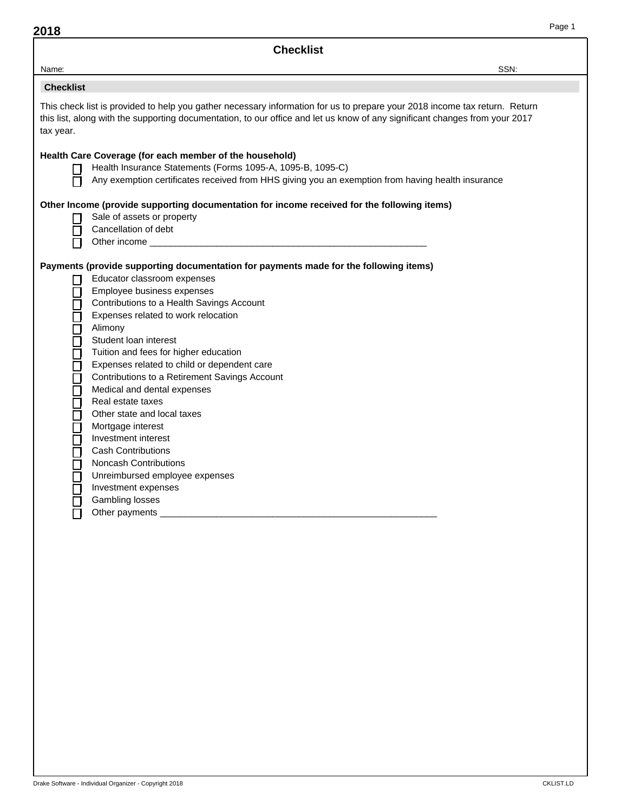|                                                         | <b>Checklist</b>                                                                                                                                                                                                                                                                                                                                                                                                                                                                                                                                                                                                                                                                            |      |  |  |  |  |
|---------------------------------------------------------|---------------------------------------------------------------------------------------------------------------------------------------------------------------------------------------------------------------------------------------------------------------------------------------------------------------------------------------------------------------------------------------------------------------------------------------------------------------------------------------------------------------------------------------------------------------------------------------------------------------------------------------------------------------------------------------------|------|--|--|--|--|
| Name:                                                   |                                                                                                                                                                                                                                                                                                                                                                                                                                                                                                                                                                                                                                                                                             | SSN: |  |  |  |  |
| <b>Checklist</b>                                        |                                                                                                                                                                                                                                                                                                                                                                                                                                                                                                                                                                                                                                                                                             |      |  |  |  |  |
| tax year.                                               | This check list is provided to help you gather necessary information for us to prepare your 2018 income tax return. Return<br>this list, along with the supporting documentation, to our office and let us know of any significant changes from your 2017                                                                                                                                                                                                                                                                                                                                                                                                                                   |      |  |  |  |  |
| П                                                       | Health Care Coverage (for each member of the household)<br>Health Insurance Statements (Forms 1095-A, 1095-B, 1095-C)<br>Any exemption certificates received from HHS giving you an exemption from having health insurance                                                                                                                                                                                                                                                                                                                                                                                                                                                                  |      |  |  |  |  |
| H<br>П                                                  | Other Income (provide supporting documentation for income received for the following items)<br>Sale of assets or property<br>Cancellation of debt<br>Other income __________                                                                                                                                                                                                                                                                                                                                                                                                                                                                                                                |      |  |  |  |  |
| ⊔<br>□<br>❏<br>00000000000000<br>□<br>$\mathsf{L}$<br>П | Payments (provide supporting documentation for payments made for the following items)<br>Educator classroom expenses<br>Employee business expenses<br>Contributions to a Health Savings Account<br>Expenses related to work relocation<br>Alimony<br>Student loan interest<br>Tuition and fees for higher education<br>Expenses related to child or dependent care<br>Contributions to a Retirement Savings Account<br>Medical and dental expenses<br>Real estate taxes<br>Other state and local taxes<br>Mortgage interest<br>Investment interest<br><b>Cash Contributions</b><br><b>Noncash Contributions</b><br>Unreimbursed employee expenses<br>Investment expenses<br>Gambling losses |      |  |  |  |  |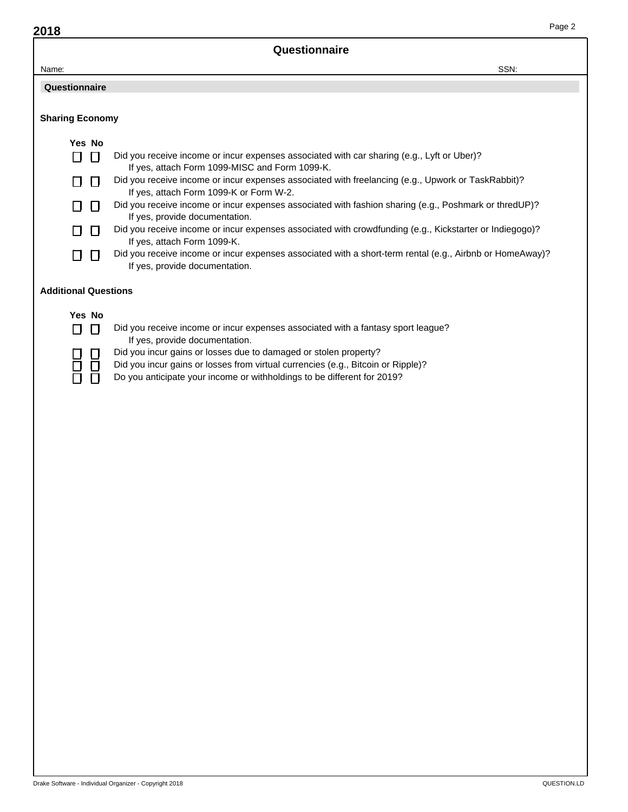| 2018                        | Page 2                                                                                                                                                      |
|-----------------------------|-------------------------------------------------------------------------------------------------------------------------------------------------------------|
|                             | Questionnaire                                                                                                                                               |
| Name:                       | SSN:                                                                                                                                                        |
| Questionnaire               |                                                                                                                                                             |
|                             |                                                                                                                                                             |
| <b>Sharing Economy</b>      |                                                                                                                                                             |
| Yes No                      |                                                                                                                                                             |
| П<br>$\Box$                 | Did you receive income or incur expenses associated with car sharing (e.g., Lyft or Uber)?<br>If yes, attach Form 1099-MISC and Form 1099-K.                |
|                             | Did you receive income or incur expenses associated with freelancing (e.g., Upwork or TaskRabbit)?<br>If yes, attach Form 1099-K or Form W-2.               |
| H                           | Did you receive income or incur expenses associated with fashion sharing (e.g., Poshmark or thredUP)?<br>If yes, provide documentation.                     |
|                             | Did you receive income or incur expenses associated with crowdfunding (e.g., Kickstarter or Indiegogo)?<br>If yes, attach Form 1099-K.                      |
|                             | Did you receive income or incur expenses associated with a short-term rental (e.g., Airbnb or HomeAway)?<br>If yes, provide documentation.                  |
| <b>Additional Questions</b> |                                                                                                                                                             |
| Yes No                      |                                                                                                                                                             |
| П<br>$\Box$                 | Did you receive income or incur expenses associated with a fantasy sport league?<br>If yes, provide documentation.                                          |
|                             | Did you incur gains or losses due to damaged or stolen property?                                                                                            |
|                             | Did you incur gains or losses from virtual currencies (e.g., Bitcoin or Ripple)?<br>Do you anticipate your income or withholdings to be different for 2019? |
|                             |                                                                                                                                                             |
|                             |                                                                                                                                                             |
|                             |                                                                                                                                                             |
|                             |                                                                                                                                                             |
|                             |                                                                                                                                                             |
|                             |                                                                                                                                                             |
|                             |                                                                                                                                                             |
|                             |                                                                                                                                                             |
|                             |                                                                                                                                                             |
|                             |                                                                                                                                                             |
|                             |                                                                                                                                                             |
|                             |                                                                                                                                                             |
|                             |                                                                                                                                                             |
|                             |                                                                                                                                                             |
|                             |                                                                                                                                                             |
|                             |                                                                                                                                                             |
|                             |                                                                                                                                                             |
|                             |                                                                                                                                                             |
|                             |                                                                                                                                                             |
|                             |                                                                                                                                                             |
|                             |                                                                                                                                                             |

Page 2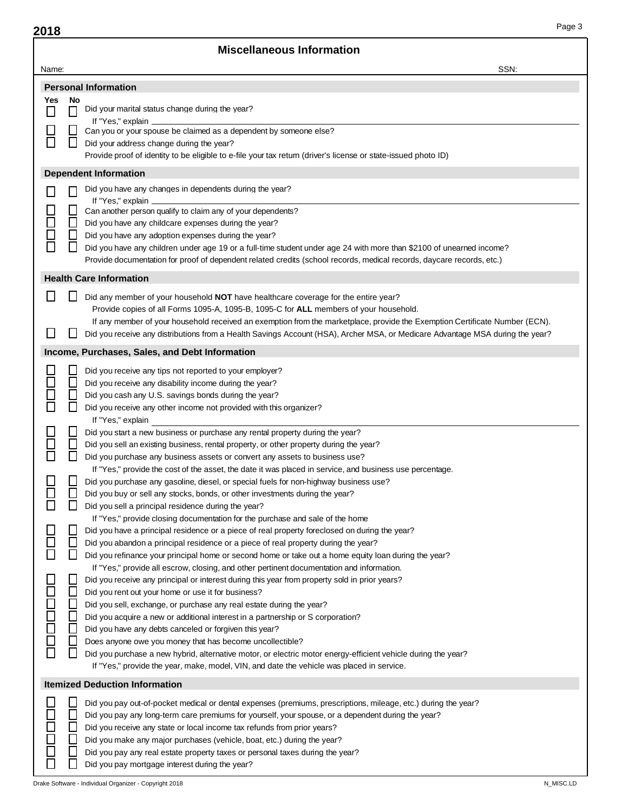| 2018         |              |                                                                                                                                                                                                                                                              | Page 3 |
|--------------|--------------|--------------------------------------------------------------------------------------------------------------------------------------------------------------------------------------------------------------------------------------------------------------|--------|
|              |              | <b>Miscellaneous Information</b>                                                                                                                                                                                                                             |        |
| Name:        |              | SSN:                                                                                                                                                                                                                                                         |        |
|              |              | <b>Personal Information</b>                                                                                                                                                                                                                                  |        |
| Yes          | No           |                                                                                                                                                                                                                                                              |        |
| $\Box$       | П            | Did your marital status change during the year?                                                                                                                                                                                                              |        |
|              |              | If "Yes," explain<br>Can you or your spouse be claimed as a dependent by someone else?                                                                                                                                                                       |        |
| $\mathbf{L}$ | $\mathbf{L}$ | Did your address change during the year?                                                                                                                                                                                                                     |        |
|              |              | Provide proof of identity to be eligible to e-file your tax return (driver's license or state-issued photo ID)                                                                                                                                               |        |
|              |              | <b>Dependent Information</b>                                                                                                                                                                                                                                 |        |
| $\Box$       |              | Did you have any changes in dependents during the year?                                                                                                                                                                                                      |        |
|              |              | If "Yes," explain<br>Can another person qualify to claim any of your dependents?                                                                                                                                                                             |        |
|              | L            | Did you have any childcare expenses during the year?                                                                                                                                                                                                         |        |
| 88<br>8      | L            | Did you have any adoption expenses during the year?                                                                                                                                                                                                          |        |
|              | $\Box$       | Did you have any children under age 19 or a full-time student under age 24 with more than \$2100 of unearned income?                                                                                                                                         |        |
|              |              | Provide documentation for proof of dependent related credits (school records, medical records, daycare records, etc.)                                                                                                                                        |        |
|              |              | <b>Health Care Information</b>                                                                                                                                                                                                                               |        |
| $\Box$       |              | Did any member of your household <b>NOT</b> have healthcare coverage for the entire year?                                                                                                                                                                    |        |
|              |              | Provide copies of all Forms 1095-A, 1095-B, 1095-C for ALL members of your household.                                                                                                                                                                        |        |
| ப            |              | If any member of your household received an exemption from the marketplace, provide the Exemption Certificate Number (ECN).<br>Did you receive any distributions from a Health Savings Account (HSA), Archer MSA, or Medicare Advantage MSA during the year? |        |
|              |              |                                                                                                                                                                                                                                                              |        |
|              |              | Income, Purchases, Sales, and Debt Information                                                                                                                                                                                                               |        |
|              |              | Did you receive any tips not reported to your employer?                                                                                                                                                                                                      |        |
|              | L<br>L       | Did you receive any disability income during the year?<br>Did you cash any U.S. savings bonds during the year?                                                                                                                                               |        |
| $\Box$       | Г            | Did you receive any other income not provided with this organizer?                                                                                                                                                                                           |        |
|              |              | If "Yes," explain                                                                                                                                                                                                                                            |        |
|              |              | Did you start a new business or purchase any rental property during the year?                                                                                                                                                                                |        |
| 8<br>0       | $\Box$       | Did you sell an existing business, rental property, or other property during the year?<br>Did you purchase any business assets or convert any assets to business use?                                                                                        |        |
|              |              | If "Yes," provide the cost of the asset, the date it was placed in service, and business use percentage.                                                                                                                                                     |        |
|              |              | Did you purchase any gasoline, diesel, or special fuels for non-highway business use?                                                                                                                                                                        |        |
| $\Box$       | L            | Did you buy or sell any stocks, bonds, or other investments during the year?                                                                                                                                                                                 |        |
| Г            | $\Box$       | Did you sell a principal residence during the year?<br>If "Yes," provide closing documentation for the purchase and sale of the home                                                                                                                         |        |
|              |              | Did you have a principal residence or a piece of real property foreclosed on during the year?                                                                                                                                                                |        |
| 85<br>80     | $\Box$       | Did you abandon a principal residence or a piece of real property during the year?                                                                                                                                                                           |        |
|              | $\Box$       | Did you refinance your principal home or second home or take out a home equity loan during the year?                                                                                                                                                         |        |
|              |              | If "Yes," provide all escrow, closing, and other pertinent documentation and information.<br>Did you receive any principal or interest during this year from property sold in prior years?                                                                   |        |
| 2000000      | $\Box$       | Did you rent out your home or use it for business?                                                                                                                                                                                                           |        |
|              | L            | Did you sell, exchange, or purchase any real estate during the year?                                                                                                                                                                                         |        |
|              |              | Did you acquire a new or additional interest in a partnership or S corporation?                                                                                                                                                                              |        |
|              | ┖            | Did you have any debts canceled or forgiven this year?<br>Does anyone owe you money that has become uncollectible?                                                                                                                                           |        |
|              | $\Box$       | Did you purchase a new hybrid, alternative motor, or electric motor energy-efficient vehicle during the year?                                                                                                                                                |        |
|              |              | If "Yes," provide the year, make, model, VIN, and date the vehicle was placed in service.                                                                                                                                                                    |        |
|              |              | <b>Itemized Deduction Information</b>                                                                                                                                                                                                                        |        |
|              |              | Did you pay out-of-pocket medical or dental expenses (premiums, prescriptions, mileage, etc.) during the year?                                                                                                                                               |        |
|              |              | Did you pay any long-term care premiums for yourself, your spouse, or a dependent during the year?                                                                                                                                                           |        |
|              |              | Did you receive any state or local income tax refunds from prior years?                                                                                                                                                                                      |        |
|              |              | Did you make any major purchases (vehicle, boat, etc.) during the year?                                                                                                                                                                                      |        |
| 00000        |              | Did you pay any real estate property taxes or personal taxes during the year?<br>Did you pay mortgage interest during the year?                                                                                                                              |        |

Page 3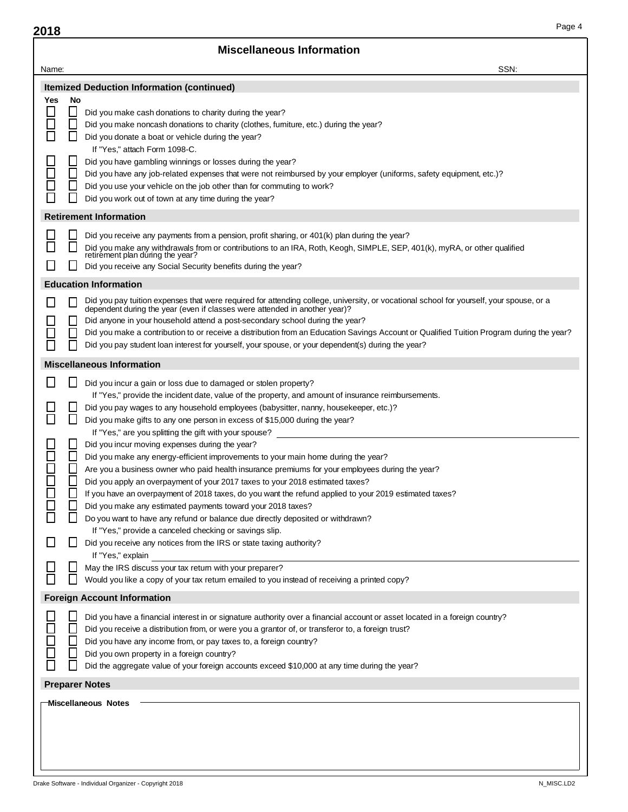| 2018                                                           |                                            | Page 4                                                                                                                                                                                                                                                                                                                                                                                                                                                                                                                                                                                                                                                                                                                                                                                                                                                                                                                                                                                        |
|----------------------------------------------------------------|--------------------------------------------|-----------------------------------------------------------------------------------------------------------------------------------------------------------------------------------------------------------------------------------------------------------------------------------------------------------------------------------------------------------------------------------------------------------------------------------------------------------------------------------------------------------------------------------------------------------------------------------------------------------------------------------------------------------------------------------------------------------------------------------------------------------------------------------------------------------------------------------------------------------------------------------------------------------------------------------------------------------------------------------------------|
|                                                                |                                            | <b>Miscellaneous Information</b>                                                                                                                                                                                                                                                                                                                                                                                                                                                                                                                                                                                                                                                                                                                                                                                                                                                                                                                                                              |
| Name:                                                          |                                            | SSN:                                                                                                                                                                                                                                                                                                                                                                                                                                                                                                                                                                                                                                                                                                                                                                                                                                                                                                                                                                                          |
|                                                                |                                            | <b>Itemized Deduction Information (continued)</b>                                                                                                                                                                                                                                                                                                                                                                                                                                                                                                                                                                                                                                                                                                                                                                                                                                                                                                                                             |
| Yes<br>$\Box$                                                  | No<br>$\Box$<br>$\Box$                     | Did you make cash donations to charity during the year?<br>Did you make noncash donations to charity (clothes, furniture, etc.) during the year?                                                                                                                                                                                                                                                                                                                                                                                                                                                                                                                                                                                                                                                                                                                                                                                                                                              |
| $\overline{\phantom{a}}$                                       | $\mathsf{L}$                               | Did you donate a boat or vehicle during the year?<br>If "Yes," attach Form 1098-C.                                                                                                                                                                                                                                                                                                                                                                                                                                                                                                                                                                                                                                                                                                                                                                                                                                                                                                            |
| $\Box$<br>$\Box$<br>$\mathcal{L}_{\mathcal{A}}$                | $\Box$<br>$\Box$<br>$\mathsf{L}$           | Did you have gambling winnings or losses during the year?<br>Did you have any job-related expenses that were not reimbursed by your employer (uniforms, safety equipment, etc.)?<br>Did you use your vehicle on the job other than for commuting to work?<br>Did you work out of town at any time during the year?                                                                                                                                                                                                                                                                                                                                                                                                                                                                                                                                                                                                                                                                            |
|                                                                |                                            | <b>Retirement Information</b>                                                                                                                                                                                                                                                                                                                                                                                                                                                                                                                                                                                                                                                                                                                                                                                                                                                                                                                                                                 |
| $\mathbb{R}^n$                                                 | $\mathsf{L}$                               | Did you receive any payments from a pension, profit sharing, or 401(k) plan during the year?<br>Did you make any withdrawals from or contributions to an IRA, Roth, Keogh, SIMPLE, SEP, 401(k), myRA, or other qualified retirement plan during the year?                                                                                                                                                                                                                                                                                                                                                                                                                                                                                                                                                                                                                                                                                                                                     |
|                                                                |                                            | Did you receive any Social Security benefits during the year?                                                                                                                                                                                                                                                                                                                                                                                                                                                                                                                                                                                                                                                                                                                                                                                                                                                                                                                                 |
|                                                                |                                            | <b>Education Information</b>                                                                                                                                                                                                                                                                                                                                                                                                                                                                                                                                                                                                                                                                                                                                                                                                                                                                                                                                                                  |
| $\mathcal{L}_{\mathcal{A}}$                                    | Е                                          | Did you pay tuition expenses that were required for attending college, university, or vocational school for yourself, your spouse, or a<br>dependent during the year (even if classes were attended in another year)?<br>Did anyone in your household attend a post-secondary school during the year?<br>Did you make a contribution to or receive a distribution from an Education Savings Account or Qualified Tuition Program during the year?<br>Did you pay student loan interest for yourself, your spouse, or your dependent(s) during the year?                                                                                                                                                                                                                                                                                                                                                                                                                                       |
|                                                                |                                            | <b>Miscellaneous Information</b>                                                                                                                                                                                                                                                                                                                                                                                                                                                                                                                                                                                                                                                                                                                                                                                                                                                                                                                                                              |
| $\mathsf{L}$<br>П<br>$\Box$<br>П<br>$\Box$<br>$\Box$<br>$\Box$ | $\mathsf{L}$<br>$\Box$<br>$\Box$<br>$\Box$ | Did you incur a gain or loss due to damaged or stolen property?<br>If "Yes," provide the incident date, value of the property, and amount of insurance reimbursements.<br>Did you pay wages to any household employees (babysitter, nanny, housekeeper, etc.)?<br>Did you make gifts to any one person in excess of \$15,000 during the year?<br>If "Yes," are you splitting the gift with your spouse?<br>Did you incur moving expenses during the year?<br>Did you make any energy-efficient improvements to your main home during the year?<br>Are you a business owner who paid health insurance premiums for your employees during the year?<br>Did you apply an overpayment of your 2017 taxes to your 2018 estimated taxes?<br>If you have an overpayment of 2018 taxes, do you want the refund applied to your 2019 estimated taxes?<br>Did you make any estimated payments toward your 2018 taxes?<br>Do you want to have any refund or balance due directly deposited or withdrawn? |
| $\mathsf{L}$                                                   |                                            | If "Yes," provide a canceled checking or savings slip.<br>Did you receive any notices from the IRS or state taxing authority?                                                                                                                                                                                                                                                                                                                                                                                                                                                                                                                                                                                                                                                                                                                                                                                                                                                                 |
| $\mathcal{L}_{\mathcal{A}}$                                    | ΙI                                         | If "Yes," explain<br>May the IRS discuss your tax retum with your preparer?<br>Would you like a copy of your tax retum emailed to you instead of receiving a printed copy?                                                                                                                                                                                                                                                                                                                                                                                                                                                                                                                                                                                                                                                                                                                                                                                                                    |
|                                                                |                                            | <b>Foreign Account Information</b>                                                                                                                                                                                                                                                                                                                                                                                                                                                                                                                                                                                                                                                                                                                                                                                                                                                                                                                                                            |
| $\Box$<br>$\Box$<br>$\Box$                                     | $\Box$<br>L<br>L                           | Did you have a financial interest in or signature authority over a financial account or asset located in a foreign country?<br>Did you receive a distribution from, or were you a grantor of, or transferor to, a foreign trust?<br>Did you have any income from, or pay taxes to, a foreign country?<br>Did you own property in a foreign country?<br>Did the aggregate value of your foreign accounts exceed \$10,000 at any time during the year?                                                                                                                                                                                                                                                                                                                                                                                                                                                                                                                                          |
|                                                                |                                            | <b>Preparer Notes</b>                                                                                                                                                                                                                                                                                                                                                                                                                                                                                                                                                                                                                                                                                                                                                                                                                                                                                                                                                                         |
|                                                                |                                            | Miscellaneous Notes                                                                                                                                                                                                                                                                                                                                                                                                                                                                                                                                                                                                                                                                                                                                                                                                                                                                                                                                                                           |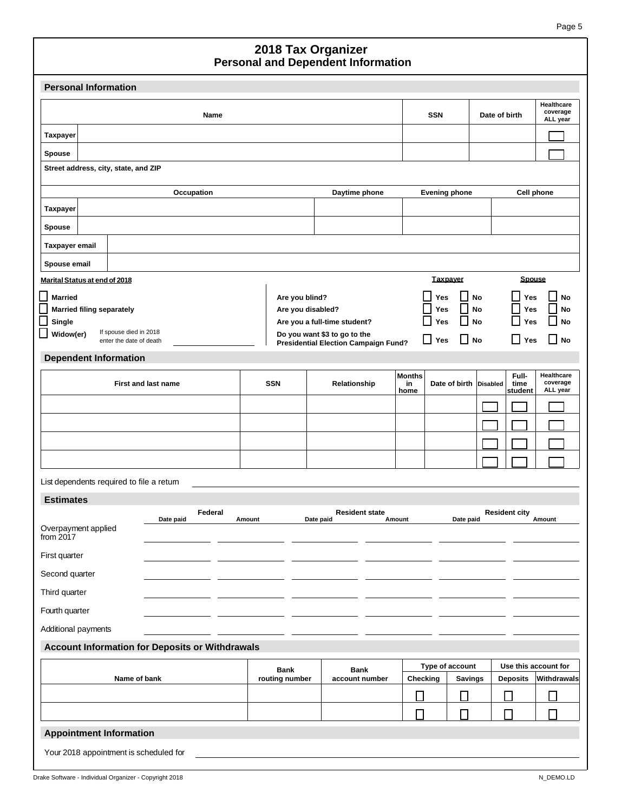## **Personal and Dependent Information 2018 Tax Organizer**

| <b>Personal Information</b>                     |                |                                                              |                                           |                                    |                      |  |
|-------------------------------------------------|----------------|--------------------------------------------------------------|-------------------------------------------|------------------------------------|----------------------|--|
| Name                                            | <b>SSN</b>     | Date of birth                                                | <b>Healthcare</b><br>coverage<br>ALL year |                                    |                      |  |
| <b>Taxpayer</b>                                 |                |                                                              |                                           |                                    |                      |  |
| <b>Spouse</b>                                   |                |                                                              |                                           |                                    |                      |  |
| Street address, city, state, and ZIP            |                |                                                              |                                           |                                    |                      |  |
| Occupation                                      |                | Daytime phone                                                | <b>Evening phone</b>                      |                                    | <b>Cell phone</b>    |  |
| <b>Taxpayer</b>                                 |                |                                                              |                                           |                                    |                      |  |
| <b>Spouse</b>                                   |                |                                                              |                                           |                                    |                      |  |
| <b>Taxpayer email</b>                           |                |                                                              |                                           |                                    |                      |  |
| Spouse email                                    |                |                                                              |                                           |                                    |                      |  |
| Marital Status at end of 2018                   |                |                                                              | <b>Taxpayer</b>                           | <b>Spouse</b>                      |                      |  |
| <b>Married</b>                                  | Are you blind? |                                                              | Yes                                       | No<br>Yes                          | No                   |  |
| <b>Married filing separately</b>                |                | Are you disabled?                                            | <b>Yes</b>                                | No<br>Yes<br>$\mathbf{I}$          | No                   |  |
| Single<br>If spouse died in 2018<br>Widow(er)   |                | Are you a full-time student?<br>Do you want \$3 to go to the | Yes                                       | No<br>Yes                          | No                   |  |
| enter the date of death                         |                | <b>Presidential Election Campaign Fund?</b>                  | $\Box$<br>Yes                             | $\Box$ No<br>l I<br>Yes            | l No                 |  |
| <b>Dependent Information</b>                    |                |                                                              | <b>Months</b>                             | Full-                              | Healthcare           |  |
| <b>First and last name</b>                      | <b>SSN</b>     | Relationship                                                 | Date of birth<br>in<br>home               | <b>Disabled</b><br>time<br>student | coverage<br>ALL year |  |
|                                                 |                |                                                              |                                           |                                    |                      |  |
|                                                 |                |                                                              |                                           |                                    |                      |  |
|                                                 |                |                                                              |                                           |                                    |                      |  |
|                                                 |                |                                                              |                                           |                                    |                      |  |
| List dependents required to file a retum        |                |                                                              |                                           |                                    |                      |  |
| <b>Estimates</b>                                |                |                                                              |                                           |                                    |                      |  |
| Federal<br>Date paid                            | Amount         | <b>Resident state</b><br>Date paid                           | Amount                                    | <b>Resident city</b><br>Date paid  | Amount               |  |
| Overpayment applied<br>from 2017                |                |                                                              |                                           |                                    |                      |  |
| First quarter                                   |                |                                                              |                                           |                                    |                      |  |
| Second quarter                                  |                |                                                              |                                           |                                    |                      |  |
| Third quarter                                   |                |                                                              |                                           |                                    |                      |  |
| Fourth quarter                                  |                |                                                              |                                           |                                    |                      |  |
| Additional payments                             |                |                                                              |                                           |                                    |                      |  |
| Account Information for Deposits or Withdrawals |                |                                                              |                                           |                                    |                      |  |
|                                                 | Bank           | Type of account                                              |                                           | Use this account for               |                      |  |
| Name of bank                                    | routing number | account number                                               | Checking                                  | <b>Deposits</b><br><b>Savings</b>  | Withdrawals          |  |
|                                                 |                |                                                              | $\Box$                                    | $\Box$<br>□                        | П                    |  |
| П<br>П<br>$\Box$                                |                |                                                              |                                           |                                    |                      |  |
| <b>Appointment Information</b>                  |                |                                                              |                                           |                                    |                      |  |
| Your 2018 appointment is scheduled for          |                |                                                              |                                           |                                    |                      |  |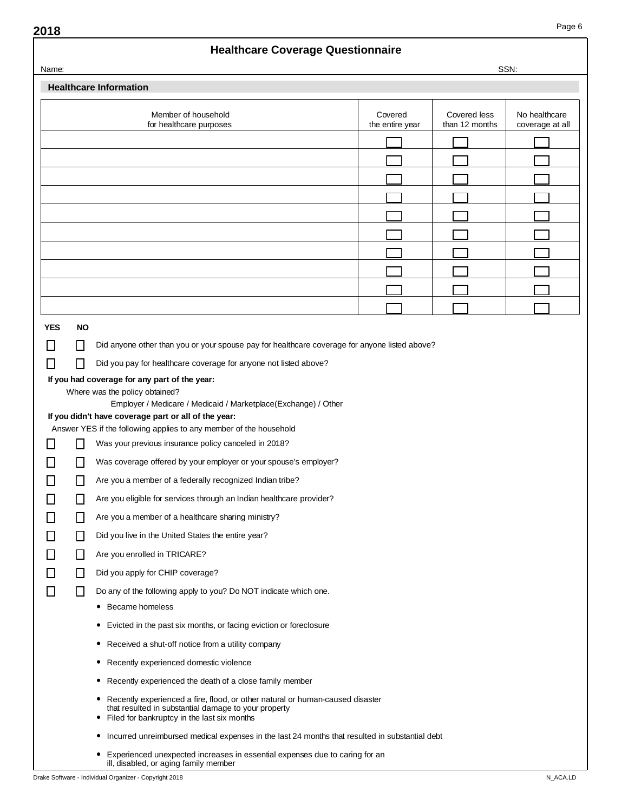## **Healthcare Coverage Questionnaire**

| Name:                                                                                                                                                                                       |           |                                                                                                                            |                            |                                | SSN:                             |
|---------------------------------------------------------------------------------------------------------------------------------------------------------------------------------------------|-----------|----------------------------------------------------------------------------------------------------------------------------|----------------------------|--------------------------------|----------------------------------|
|                                                                                                                                                                                             |           | <b>Healthcare Information</b>                                                                                              |                            |                                |                                  |
|                                                                                                                                                                                             |           | Member of household<br>for healthcare purposes                                                                             | Covered<br>the entire year | Covered less<br>than 12 months | No healthcare<br>coverage at all |
|                                                                                                                                                                                             |           |                                                                                                                            |                            |                                |                                  |
|                                                                                                                                                                                             |           |                                                                                                                            |                            |                                |                                  |
|                                                                                                                                                                                             |           |                                                                                                                            |                            |                                |                                  |
|                                                                                                                                                                                             |           |                                                                                                                            |                            |                                |                                  |
|                                                                                                                                                                                             |           |                                                                                                                            |                            |                                |                                  |
|                                                                                                                                                                                             |           |                                                                                                                            |                            |                                |                                  |
|                                                                                                                                                                                             |           |                                                                                                                            |                            |                                |                                  |
|                                                                                                                                                                                             |           |                                                                                                                            |                            |                                |                                  |
|                                                                                                                                                                                             |           |                                                                                                                            |                            |                                |                                  |
|                                                                                                                                                                                             |           |                                                                                                                            |                            |                                |                                  |
|                                                                                                                                                                                             |           |                                                                                                                            |                            |                                |                                  |
| <b>YES</b>                                                                                                                                                                                  | <b>NO</b> |                                                                                                                            |                            |                                |                                  |
|                                                                                                                                                                                             |           | Did anyone other than you or your spouse pay for healthcare coverage for anyone listed above?                              |                            |                                |                                  |
| П                                                                                                                                                                                           |           | Did you pay for healthcare coverage for anyone not listed above?                                                           |                            |                                |                                  |
|                                                                                                                                                                                             |           | If you had coverage for any part of the year:<br>Where was the policy obtained?                                            |                            |                                |                                  |
|                                                                                                                                                                                             |           | Employer / Medicare / Medicaid / Marketplace(Exchange) / Other                                                             |                            |                                |                                  |
|                                                                                                                                                                                             |           | If you didn't have coverage part or all of the year:                                                                       |                            |                                |                                  |
|                                                                                                                                                                                             |           | Answer YES if the following applies to any member of the household<br>Was your previous insurance policy canceled in 2018? |                            |                                |                                  |
|                                                                                                                                                                                             |           | Was coverage offered by your employer or your spouse's employer?                                                           |                            |                                |                                  |
|                                                                                                                                                                                             |           |                                                                                                                            |                            |                                |                                  |
|                                                                                                                                                                                             |           | Are you a member of a federally recognized Indian tribe?                                                                   |                            |                                |                                  |
|                                                                                                                                                                                             |           | Are you eligible for services through an Indian healthcare provider?                                                       |                            |                                |                                  |
|                                                                                                                                                                                             |           | Are you a member of a healthcare sharing ministry?                                                                         |                            |                                |                                  |
|                                                                                                                                                                                             |           | Did you live in the United States the entire year?                                                                         |                            |                                |                                  |
| П                                                                                                                                                                                           | $\perp$   | Are you enrolled in TRICARE?                                                                                               |                            |                                |                                  |
|                                                                                                                                                                                             | $\perp$   | Did you apply for CHIP coverage?                                                                                           |                            |                                |                                  |
| $\Box$                                                                                                                                                                                      | ΙI        | Do any of the following apply to you? Do NOT indicate which one.                                                           |                            |                                |                                  |
|                                                                                                                                                                                             |           | • Became homeless                                                                                                          |                            |                                |                                  |
|                                                                                                                                                                                             |           | Evicted in the past six months, or facing eviction or foreclosure<br>۰                                                     |                            |                                |                                  |
|                                                                                                                                                                                             |           | Received a shut-off notice from a utility company<br>۰                                                                     |                            |                                |                                  |
|                                                                                                                                                                                             |           | Recently experienced domestic violence<br>۰                                                                                |                            |                                |                                  |
|                                                                                                                                                                                             |           | Recently experienced the death of a close family member<br>۰                                                               |                            |                                |                                  |
| • Recently experienced a fire, flood, or other natural or human-caused disaster<br>that resulted in substantial damage to your property<br>Filed for bankruptcy in the last six months<br>۰ |           |                                                                                                                            |                            |                                |                                  |
|                                                                                                                                                                                             |           | Incurred unreimbursed medical expenses in the last 24 months that resulted in substantial debt<br>۰                        |                            |                                |                                  |
|                                                                                                                                                                                             |           | • Experienced unexpected increases in essential expenses due to caring for an                                              |                            |                                |                                  |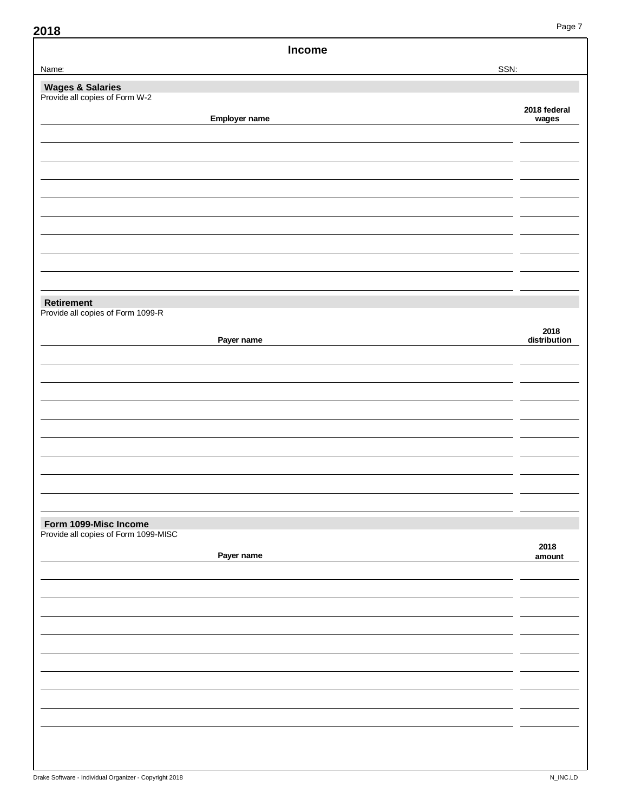| Income                                                        |                       |
|---------------------------------------------------------------|-----------------------|
| Name:                                                         | SSN:                  |
| <b>Wages &amp; Salaries</b><br>Provide all copies of Form W-2 |                       |
| Employer name                                                 | 2018 federal<br>wages |
|                                                               |                       |
|                                                               |                       |
|                                                               |                       |
|                                                               |                       |
| Retirement<br>Provide all copies of Form 1099-R               |                       |
| Payer name                                                    | 2018<br>distribution  |
|                                                               |                       |
|                                                               |                       |
|                                                               |                       |
|                                                               |                       |
| Form 1099-Misc Income                                         |                       |
| Provide all copies of Form 1099-MISC                          |                       |
| Payer name                                                    | 2018<br>amount        |
|                                                               |                       |
|                                                               |                       |
|                                                               |                       |
|                                                               |                       |
|                                                               |                       |
|                                                               |                       |
|                                                               |                       |
|                                                               |                       |
|                                                               |                       |
|                                                               |                       |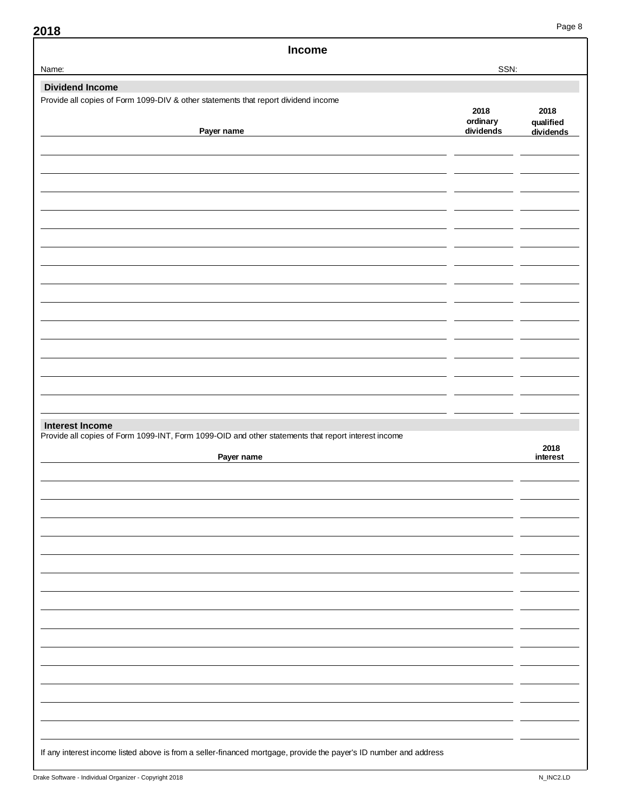| Income                                                                                              |                  |                   |
|-----------------------------------------------------------------------------------------------------|------------------|-------------------|
| Name:                                                                                               | SSN:             |                   |
| <b>Dividend Income</b>                                                                              |                  |                   |
| Provide all copies of Form 1099-DIV & other statements that report dividend income                  | 2018<br>ordinary | 2018<br>qualified |
| Payer name                                                                                          | dividends        | dividends         |
|                                                                                                     |                  |                   |
|                                                                                                     |                  |                   |
|                                                                                                     |                  |                   |
|                                                                                                     |                  |                   |
|                                                                                                     |                  |                   |
|                                                                                                     |                  |                   |
|                                                                                                     |                  |                   |
|                                                                                                     |                  |                   |
|                                                                                                     |                  |                   |
|                                                                                                     |                  |                   |
|                                                                                                     |                  |                   |
|                                                                                                     |                  |                   |
|                                                                                                     |                  |                   |
|                                                                                                     |                  |                   |
|                                                                                                     |                  |                   |
|                                                                                                     |                  |                   |
|                                                                                                     |                  |                   |
| <b>Interest Income</b>                                                                              |                  |                   |
| Payer name                                                                                          |                  | 2018<br>interest  |
|                                                                                                     |                  |                   |
|                                                                                                     |                  |                   |
|                                                                                                     |                  |                   |
|                                                                                                     |                  |                   |
|                                                                                                     |                  |                   |
|                                                                                                     |                  |                   |
|                                                                                                     |                  |                   |
|                                                                                                     |                  |                   |
|                                                                                                     |                  |                   |
|                                                                                                     |                  |                   |
|                                                                                                     |                  |                   |
|                                                                                                     |                  |                   |
|                                                                                                     |                  |                   |
|                                                                                                     |                  |                   |
|                                                                                                     |                  |                   |
| Provide all copies of Form 1099-INT, Form 1099-OID and other statements that report interest income |                  |                   |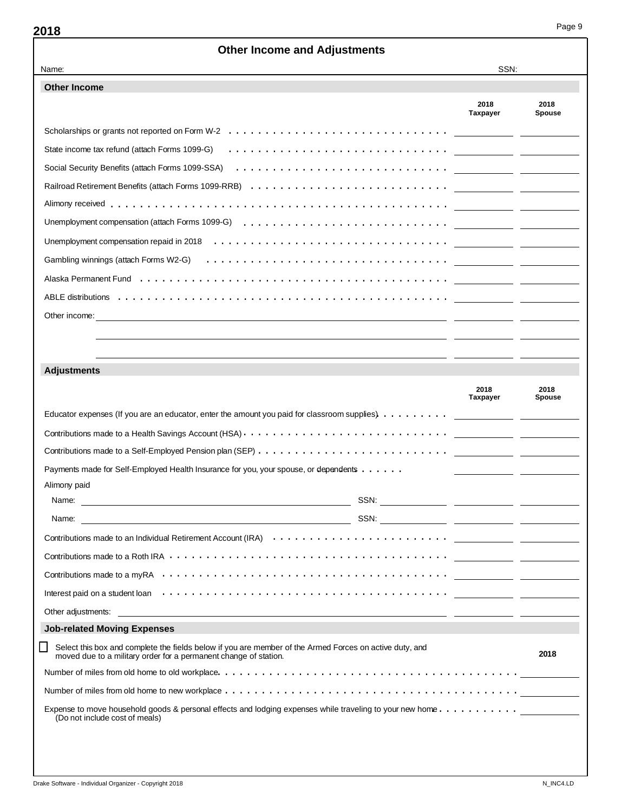## **Other Income and Adjustments** Name: SSN: **Other Income 2018 2018 Taxpayer Spouse** Scholarships or grants not reported on Form W-2  $\dots \dots \dots \dots \dots \dots \dots \dots \dots \dots \dots \dots \dots$ State income tax refund (attach Forms 1099-G) .............................. Social Security Benefits (attach Forms 1099-SSA) ............................. Railroad Retirement Benefits (attach Forms 1099-RRB) ........................... Alimony received . . . . .............................................. Unemployment compensation (attach Forms 1099-G) ............................ Unemployment compensation repaid in 2018 ................................ Gambling winnings (attach Forms W2-G) ................................. Alaska Permanent Fund .......................................... ABLE distributions ............................................. Other income: **Adjustments 2018 2018 Taxpayer** Educator expenses (If you are an educator, enter the amount you paid for classroom supplies) . . . . . . . . . Contributions made to a Health Savings Account (HSA)  $\cdots$ ............................. Contributions made to a Self-Employed Pension plan (SEP) .......................... Payments made for Self-Employed Health Insurance for you, your spouse, or dependents . . . . . . Alimony paid Name: SSN: Name: SSN: Contributions made to an Individual Retirement Account (IRA) .............................. Contributions made to a Roth IRA ...................................... Contributions made to a myRA ....................................... Interest paid on a student loan ....................................... Other adjustments: **Job-related Moving Expenses** Select this box and complete the fields below if you are member of the Armed Forces on active duty, and LΙ **2018** moved due to a military order for a permanent change of station. Number of miles from old home to old workplace ......................................... Number of miles from old home to new workplace ........................................ Expense to move household goods & personal effects and lodging expenses while traveling to your new home........... (Do not include cost of meals)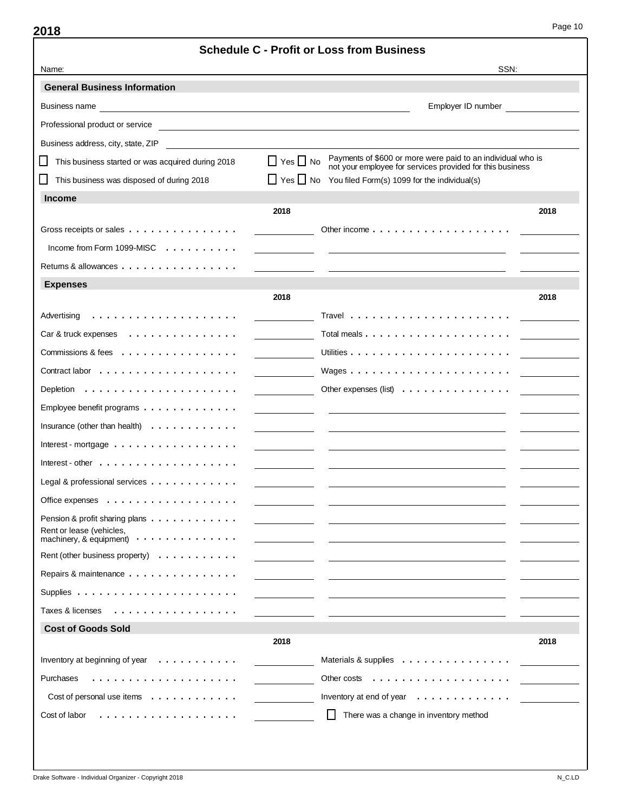| <b>Schedule C - Profit or Loss from Business</b>                                                     |                      |                                                                                                                          |      |  |
|------------------------------------------------------------------------------------------------------|----------------------|--------------------------------------------------------------------------------------------------------------------------|------|--|
| Name:                                                                                                |                      | SSN:                                                                                                                     |      |  |
| <b>General Business Information</b>                                                                  |                      |                                                                                                                          |      |  |
|                                                                                                      |                      | Employer ID number                                                                                                       |      |  |
| Professional product or service<br><u> 1989 - Johann Stein, mars an de British Barbara (b. 1989)</u> |                      |                                                                                                                          |      |  |
| Business address, city, state, ZIP                                                                   |                      |                                                                                                                          |      |  |
| This business started or was acquired during 2018                                                    | $\Box$ Yes $\Box$ No | Payments of \$600 or more were paid to an individual who is<br>not your employee for services provided for this business |      |  |
| This business was disposed of during 2018                                                            |                      | $\Box$ Yes $\Box$ No You filed Form(s) 1099 for the individual(s)                                                        |      |  |
| <b>Income</b>                                                                                        |                      |                                                                                                                          |      |  |
|                                                                                                      | 2018                 |                                                                                                                          | 2018 |  |
| Gross receipts or sales                                                                              |                      | Other income $\ldots \ldots \ldots \ldots \ldots \ldots$                                                                 |      |  |
| Income from Form 1099-MISC $\ldots$ ,                                                                |                      |                                                                                                                          |      |  |
| Returns & allowances $\dots$                                                                         |                      |                                                                                                                          |      |  |
| <b>Expenses</b>                                                                                      |                      |                                                                                                                          |      |  |
|                                                                                                      | 2018                 |                                                                                                                          | 2018 |  |
| Advertising                                                                                          |                      |                                                                                                                          |      |  |
| Car & truck expenses                                                                                 |                      |                                                                                                                          |      |  |
| Commissions & fees $\dots\dots\dots\dots\dots\dots$                                                  |                      |                                                                                                                          |      |  |
|                                                                                                      |                      |                                                                                                                          |      |  |
| Depletion $\ldots \ldots \ldots \ldots \ldots \ldots$                                                |                      | Other expenses (list) $\ldots$ ,                                                                                         |      |  |
| Employee benefit programs $\ldots \ldots \ldots \ldots$                                              |                      |                                                                                                                          |      |  |
| Insurance (other than health) $\ldots \ldots \ldots \ldots$                                          |                      |                                                                                                                          |      |  |
| Interest - mortgage $\ldots$                                                                         |                      |                                                                                                                          |      |  |
| Interest - other $\dots \dots \dots \dots \dots \dots$                                               |                      |                                                                                                                          |      |  |
| Legal & professional services                                                                        |                      |                                                                                                                          |      |  |
| Office expenses                                                                                      |                      |                                                                                                                          |      |  |
| Pension & profit sharing plans                                                                       |                      |                                                                                                                          |      |  |
| Rent or lease (vehicles,<br>machinery, & equipment) $\cdots$                                         |                      |                                                                                                                          |      |  |
| Rent (other business property) $\ldots \ldots \ldots$                                                |                      |                                                                                                                          |      |  |
| Repairs & maintenance                                                                                |                      |                                                                                                                          |      |  |
| Supplies $\ldots \ldots \ldots \ldots \ldots \ldots \ldots$                                          |                      |                                                                                                                          |      |  |
| Taxes & licenses<br>.                                                                                |                      |                                                                                                                          |      |  |
| <b>Cost of Goods Sold</b>                                                                            |                      |                                                                                                                          |      |  |
|                                                                                                      | 2018                 |                                                                                                                          | 2018 |  |
| Inventory at beginning of year $\ldots \ldots \ldots$                                                |                      | Materials & supplies $\ldots \ldots \ldots \ldots$                                                                       |      |  |
| Purchases                                                                                            |                      | Other costs $\dots \dots \dots \dots \dots \dots$                                                                        |      |  |
| Cost of personal use items                                                                           |                      | Inventory at end of year $\dots \dots \dots \dots$                                                                       |      |  |
| Cost of labor                                                                                        |                      | There was a change in inventory method<br>ΙI                                                                             |      |  |
|                                                                                                      |                      |                                                                                                                          |      |  |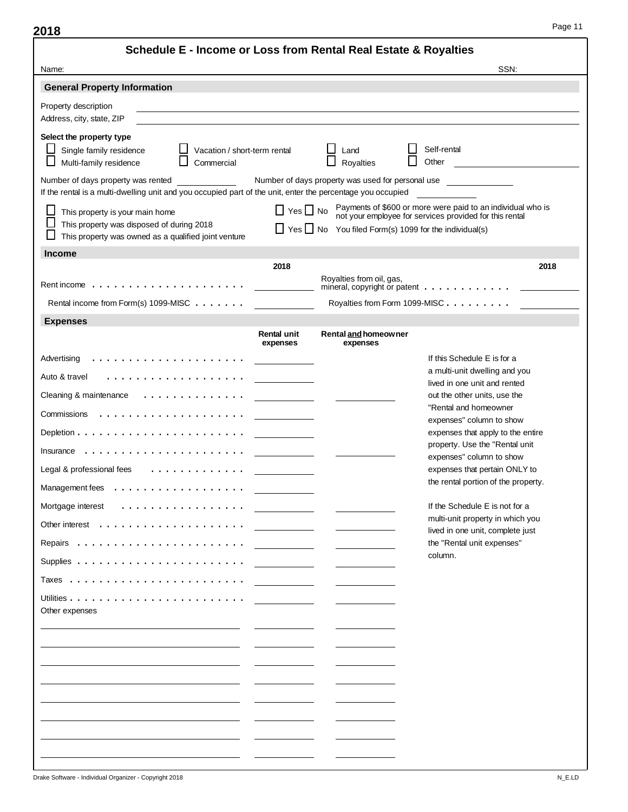|                                                                                                                                                   | Schedule E - Income or Loss from Rental Real Estate & Royalties                                                                                                                                                     |
|---------------------------------------------------------------------------------------------------------------------------------------------------|---------------------------------------------------------------------------------------------------------------------------------------------------------------------------------------------------------------------|
| Name:                                                                                                                                             | SSN:                                                                                                                                                                                                                |
| <b>General Property Information</b>                                                                                                               |                                                                                                                                                                                                                     |
| Property description<br>Address, city, state, ZIP                                                                                                 |                                                                                                                                                                                                                     |
| Select the property type<br>Single family residence<br>$\Box$ Vacation / short-term rental<br>Multi-family residence<br>Commercial                | Self-rental<br>Land<br>Other<br>Royalties                                                                                                                                                                           |
| Number of days property was rented<br>If the rental is a multi-dwelling unit and you occupied part of the unit, enter the percentage you occupied | Number of days property was used for personal use                                                                                                                                                                   |
| This property is your main home<br>This property was disposed of during 2018<br>This property was owned as a qualified joint venture              | Payments of \$600 or more were paid to an individual who is<br>not your employee for services provided for this rental<br>$\Box$ Yes $\Box$ No<br>$\Box$ Yes $\Box$ No You filed Form(s) 1099 for the individual(s) |
| <b>Income</b>                                                                                                                                     |                                                                                                                                                                                                                     |
| 2018                                                                                                                                              | 2018<br>Royalties from oil, gas,                                                                                                                                                                                    |
| Rental income from Form(s) 1099-MISC                                                                                                              | Royalties from Form 1099-MISC                                                                                                                                                                                       |
| <b>Expenses</b>                                                                                                                                   |                                                                                                                                                                                                                     |
| Rental unit<br>expenses                                                                                                                           | Rental and homeowner<br>expenses                                                                                                                                                                                    |
|                                                                                                                                                   | If this Schedule E is for a                                                                                                                                                                                         |
| Auto & travel<br>.                                                                                                                                | a multi-unit dwelling and you<br>lived in one unit and rented                                                                                                                                                       |
| Cleaning & maintenance $\cdots$ , $\cdots$ , $\cdots$ , $\cdots$                                                                                  | out the other units, use the                                                                                                                                                                                        |
|                                                                                                                                                   | "Rental and homeowner<br>expenses" column to show                                                                                                                                                                   |
|                                                                                                                                                   | expenses that apply to the entire                                                                                                                                                                                   |
| Insurance $\dots\dots\dots\dots\dots$                                                                                                             | property. Use the "Rental unit<br>expenses" column to show                                                                                                                                                          |
| Legal & professional fees $\ldots \ldots \ldots \ldots$                                                                                           | expenses that pertain ONLY to                                                                                                                                                                                       |
| Management fees                                                                                                                                   | the rental portion of the property.                                                                                                                                                                                 |
| Mortgage interest                                                                                                                                 | If the Schedule E is not for a                                                                                                                                                                                      |
|                                                                                                                                                   | multi-unit property in which you                                                                                                                                                                                    |
|                                                                                                                                                   | lived in one unit, complete just<br>the "Rental unit expenses"                                                                                                                                                      |
|                                                                                                                                                   | column.                                                                                                                                                                                                             |
|                                                                                                                                                   |                                                                                                                                                                                                                     |
|                                                                                                                                                   |                                                                                                                                                                                                                     |
| Other expenses                                                                                                                                    |                                                                                                                                                                                                                     |
|                                                                                                                                                   |                                                                                                                                                                                                                     |
|                                                                                                                                                   |                                                                                                                                                                                                                     |
|                                                                                                                                                   |                                                                                                                                                                                                                     |
|                                                                                                                                                   |                                                                                                                                                                                                                     |
|                                                                                                                                                   |                                                                                                                                                                                                                     |
|                                                                                                                                                   |                                                                                                                                                                                                                     |
|                                                                                                                                                   |                                                                                                                                                                                                                     |
|                                                                                                                                                   |                                                                                                                                                                                                                     |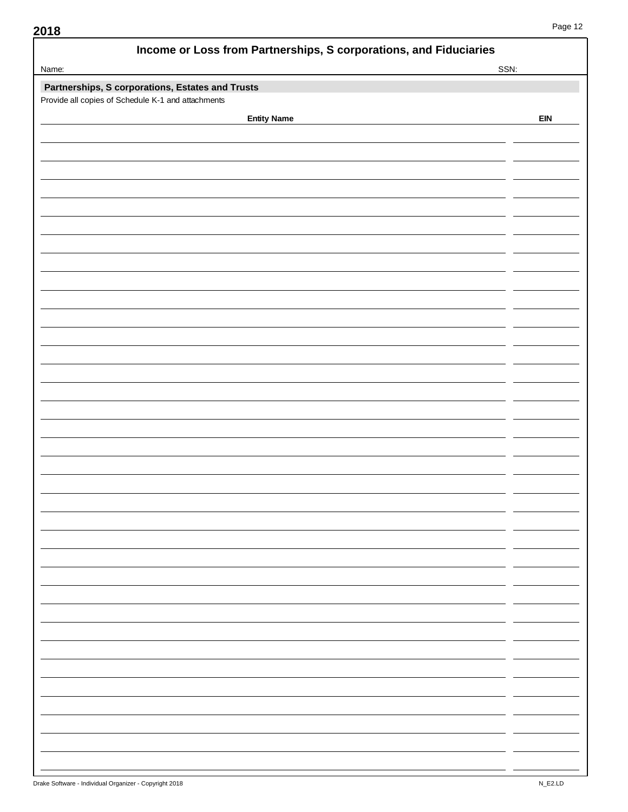| SSN:<br>Name:<br>Partnerships, S corporations, Estates and Trusts<br>Provide all copies of Schedule K-1 and attachments<br><b>Entity Name</b><br><b>EIN</b> | Income or Loss from Partnerships, S corporations, and Fiduciaries |  |
|-------------------------------------------------------------------------------------------------------------------------------------------------------------|-------------------------------------------------------------------|--|
|                                                                                                                                                             |                                                                   |  |
|                                                                                                                                                             |                                                                   |  |
|                                                                                                                                                             |                                                                   |  |
|                                                                                                                                                             |                                                                   |  |
|                                                                                                                                                             |                                                                   |  |
|                                                                                                                                                             |                                                                   |  |
|                                                                                                                                                             |                                                                   |  |
|                                                                                                                                                             |                                                                   |  |
|                                                                                                                                                             |                                                                   |  |
|                                                                                                                                                             |                                                                   |  |
|                                                                                                                                                             |                                                                   |  |
|                                                                                                                                                             |                                                                   |  |
|                                                                                                                                                             |                                                                   |  |
|                                                                                                                                                             |                                                                   |  |
|                                                                                                                                                             |                                                                   |  |
|                                                                                                                                                             |                                                                   |  |
|                                                                                                                                                             |                                                                   |  |
|                                                                                                                                                             |                                                                   |  |
|                                                                                                                                                             |                                                                   |  |
|                                                                                                                                                             |                                                                   |  |
|                                                                                                                                                             |                                                                   |  |
|                                                                                                                                                             |                                                                   |  |
|                                                                                                                                                             |                                                                   |  |
|                                                                                                                                                             |                                                                   |  |
|                                                                                                                                                             |                                                                   |  |
|                                                                                                                                                             |                                                                   |  |
|                                                                                                                                                             |                                                                   |  |
|                                                                                                                                                             |                                                                   |  |
|                                                                                                                                                             |                                                                   |  |
|                                                                                                                                                             |                                                                   |  |
|                                                                                                                                                             |                                                                   |  |
|                                                                                                                                                             |                                                                   |  |
|                                                                                                                                                             |                                                                   |  |
|                                                                                                                                                             |                                                                   |  |
|                                                                                                                                                             |                                                                   |  |
|                                                                                                                                                             |                                                                   |  |
|                                                                                                                                                             |                                                                   |  |
|                                                                                                                                                             |                                                                   |  |
|                                                                                                                                                             |                                                                   |  |
|                                                                                                                                                             |                                                                   |  |
|                                                                                                                                                             |                                                                   |  |
|                                                                                                                                                             |                                                                   |  |
|                                                                                                                                                             |                                                                   |  |
|                                                                                                                                                             |                                                                   |  |
|                                                                                                                                                             |                                                                   |  |
|                                                                                                                                                             |                                                                   |  |
|                                                                                                                                                             |                                                                   |  |
|                                                                                                                                                             |                                                                   |  |
|                                                                                                                                                             |                                                                   |  |
|                                                                                                                                                             |                                                                   |  |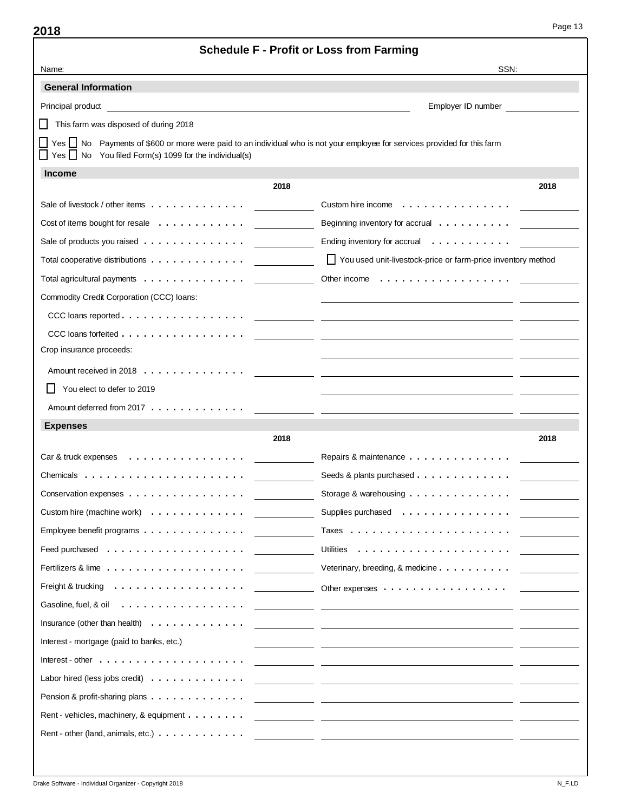|                                                                                                                                                                                                                                | <b>Schedule F - Profit or Loss from Farming</b>                                                                                                                                                                               |
|--------------------------------------------------------------------------------------------------------------------------------------------------------------------------------------------------------------------------------|-------------------------------------------------------------------------------------------------------------------------------------------------------------------------------------------------------------------------------|
| Name:                                                                                                                                                                                                                          | SSN:                                                                                                                                                                                                                          |
| <b>General Information</b>                                                                                                                                                                                                     |                                                                                                                                                                                                                               |
| Principal product                                                                                                                                                                                                              | Employer ID number                                                                                                                                                                                                            |
| This farm was disposed of during 2018                                                                                                                                                                                          |                                                                                                                                                                                                                               |
| □ Yes □ No Payments of \$600 or more were paid to an individual who is not your employee for services provided for this farm<br>$\Box$ Yes $\Box$ No You filed Form(s) 1099 for the individual(s)                              |                                                                                                                                                                                                                               |
| <b>Income</b>                                                                                                                                                                                                                  |                                                                                                                                                                                                                               |
| 2018                                                                                                                                                                                                                           | 2018                                                                                                                                                                                                                          |
| Sale of livestock / other items                                                                                                                                                                                                |                                                                                                                                                                                                                               |
| Cost of items bought for resale $\ldots \ldots \ldots \ldots$                                                                                                                                                                  | Beginning inventory for accrual                                                                                                                                                                                               |
| Sale of products you raised $\ldots \ldots \ldots \ldots$                                                                                                                                                                      | Ending inventory for accrual                                                                                                                                                                                                  |
| Total cooperative distributions                                                                                                                                                                                                | You used unit-livestock-price or farm-price inventory method                                                                                                                                                                  |
| Total agricultural payments $\ldots \ldots \ldots \ldots$                                                                                                                                                                      |                                                                                                                                                                                                                               |
| Commodity Credit Corporation (CCC) loans:                                                                                                                                                                                      |                                                                                                                                                                                                                               |
|                                                                                                                                                                                                                                |                                                                                                                                                                                                                               |
|                                                                                                                                                                                                                                |                                                                                                                                                                                                                               |
| Crop insurance proceeds:                                                                                                                                                                                                       |                                                                                                                                                                                                                               |
|                                                                                                                                                                                                                                |                                                                                                                                                                                                                               |
| You elect to defer to 2019                                                                                                                                                                                                     |                                                                                                                                                                                                                               |
|                                                                                                                                                                                                                                |                                                                                                                                                                                                                               |
| <b>Expenses</b>                                                                                                                                                                                                                |                                                                                                                                                                                                                               |
| 2018                                                                                                                                                                                                                           | 2018                                                                                                                                                                                                                          |
| Car & truck expenses $\ldots \ldots \ldots \ldots \ldots$                                                                                                                                                                      | Repairs & maintenance                                                                                                                                                                                                         |
| Chemicals $\ldots \ldots \ldots \ldots \ldots \ldots \ldots$                                                                                                                                                                   | Seeds & plants purchased                                                                                                                                                                                                      |
| Conservation expenses                                                                                                                                                                                                          | Storage & warehousing                                                                                                                                                                                                         |
| Custom hire (machine work) $\ldots \ldots \ldots \ldots$                                                                                                                                                                       | Supplies purchased                                                                                                                                                                                                            |
| Employee benefit programs $\ldots \ldots \ldots \ldots \ldots$                                                                                                                                                                 |                                                                                                                                                                                                                               |
| Feed purchased $\ldots \ldots \ldots \ldots \ldots \ldots$                                                                                                                                                                     |                                                                                                                                                                                                                               |
|                                                                                                                                                                                                                                | Veterinary, breeding, & medicine                                                                                                                                                                                              |
|                                                                                                                                                                                                                                | Freight & trucking entertainment and the context of the capenses of the context of the context of the context of the context of the context of the context of the context of the context of the context of the context of the |
| Gasoline, fuel, & oil (etc.) with the contract of the contract of the contract of the contract of the contract of the contract of the contract of the contract of the contract of the contract of the contract of the contract |                                                                                                                                                                                                                               |
|                                                                                                                                                                                                                                |                                                                                                                                                                                                                               |
| Interest - mortgage (paid to banks, etc.)                                                                                                                                                                                      | <u> 1988 - Andrea Branden, amerikansk politiker (d. 1988)</u>                                                                                                                                                                 |
| Interest - other $\dots \dots \dots \dots \dots \dots$                                                                                                                                                                         | <u> 1989 - Johann John Stone, markin amerikan basar dan berasal dari dalam basar dalam basar dalam basar dalam ba</u>                                                                                                         |
| Labor hired (less jobs credit) $\ldots \ldots \ldots \ldots$                                                                                                                                                                   | <u> 1999 - Johann John Stein, mars et al. 1999 - John Stein, mars et al. 1999 - John Stein, mars et al. 199</u>                                                                                                               |
| Pension & profit-sharing plans $\ldots$                                                                                                                                                                                        | <u> 1990 - Johann Johann Stoff, deutscher Stoff und der Stoff und der Stoff und der Stoff und der Stoff und der S</u>                                                                                                         |
| Rent - vehicles, machinery, & equipment                                                                                                                                                                                        | <u> 1999 - Johann John Stein, mars et al. 1999 - John Stein, mars et al. 1999 - John Stein, mars et al. 199</u>                                                                                                               |
|                                                                                                                                                                                                                                |                                                                                                                                                                                                                               |
|                                                                                                                                                                                                                                |                                                                                                                                                                                                                               |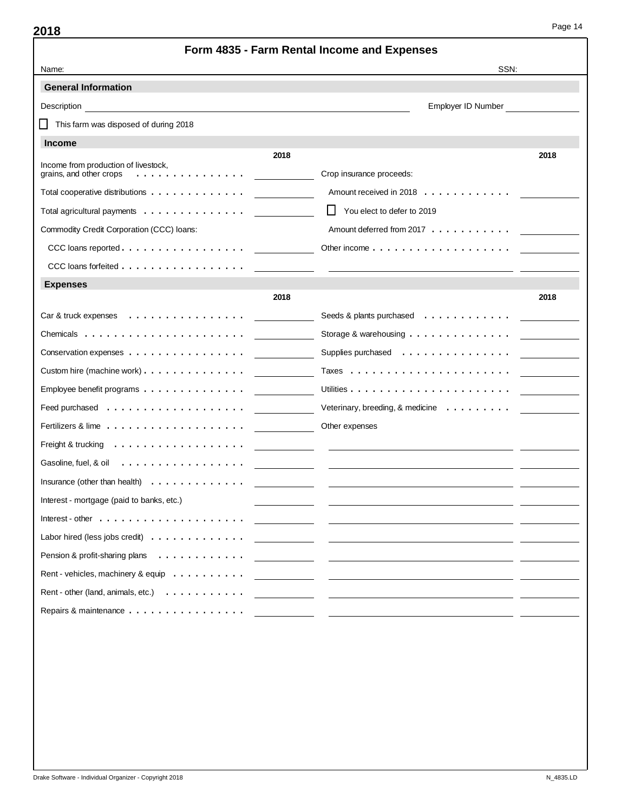| Form 4835 - Farm Rental Income and Expenses                                       |                                                                                         |  |  |  |  |  |
|-----------------------------------------------------------------------------------|-----------------------------------------------------------------------------------------|--|--|--|--|--|
| Name:                                                                             | SSN:                                                                                    |  |  |  |  |  |
| <b>General Information</b>                                                        |                                                                                         |  |  |  |  |  |
| Description                                                                       | Employer ID Number                                                                      |  |  |  |  |  |
| This farm was disposed of during 2018                                             |                                                                                         |  |  |  |  |  |
| <b>Income</b>                                                                     |                                                                                         |  |  |  |  |  |
| 2018<br>Income from production of livestock,                                      | 2018                                                                                    |  |  |  |  |  |
| grains, and other crops<br>.                                                      | Crop insurance proceeds:                                                                |  |  |  |  |  |
| Total cooperative distributions                                                   | Amount received in 2018                                                                 |  |  |  |  |  |
| Total agricultural payments                                                       | LΙ<br>You elect to defer to 2019                                                        |  |  |  |  |  |
| Commodity Credit Corporation (CCC) loans:                                         | Amount deferred from 2017                                                               |  |  |  |  |  |
| CCC loans reported $\ldots$ $\ldots$ $\ldots$ $\ldots$ $\ldots$ $\ldots$ $\ldots$ | Other income $\ldots$ , $\ldots$ , $\ldots$ , $\ldots$ , $\ldots$ , $\ldots$ , $\ldots$ |  |  |  |  |  |
| CCC loans forfeited                                                               |                                                                                         |  |  |  |  |  |
| <b>Expenses</b>                                                                   |                                                                                         |  |  |  |  |  |
| 2018                                                                              | 2018                                                                                    |  |  |  |  |  |
|                                                                                   | Seeds & plants purchased                                                                |  |  |  |  |  |
|                                                                                   | Storage & warehousing $\ldots \ldots \ldots \ldots$                                     |  |  |  |  |  |
| Conservation expenses                                                             | Supplies purchased                                                                      |  |  |  |  |  |
| Custom hire (machine work)                                                        |                                                                                         |  |  |  |  |  |
| Employee benefit programs $\ldots \ldots \ldots \ldots \ldots$                    |                                                                                         |  |  |  |  |  |
|                                                                                   | Veterinary, breeding, & medicine $\ldots \ldots \ldots$                                 |  |  |  |  |  |
|                                                                                   | Other expenses                                                                          |  |  |  |  |  |
| Freight & trucking                                                                |                                                                                         |  |  |  |  |  |
| Gasoline, fuel, & oil<br>.                                                        |                                                                                         |  |  |  |  |  |
| Insurance (other than health) $\ldots \ldots \ldots \ldots$                       |                                                                                         |  |  |  |  |  |
| Interest - mortgage (paid to banks, etc.)                                         |                                                                                         |  |  |  |  |  |
| Interest - other $\dots \dots \dots \dots \dots \dots \dots$                      |                                                                                         |  |  |  |  |  |
| Labor hired (less jobs credit)                                                    |                                                                                         |  |  |  |  |  |
| Pension & profit-sharing plans<br>.                                               |                                                                                         |  |  |  |  |  |
| Rent - vehicles, machinery & equip                                                |                                                                                         |  |  |  |  |  |
| Rent - other (land, animals, etc.)                                                |                                                                                         |  |  |  |  |  |
| Repairs & maintenance                                                             |                                                                                         |  |  |  |  |  |
|                                                                                   |                                                                                         |  |  |  |  |  |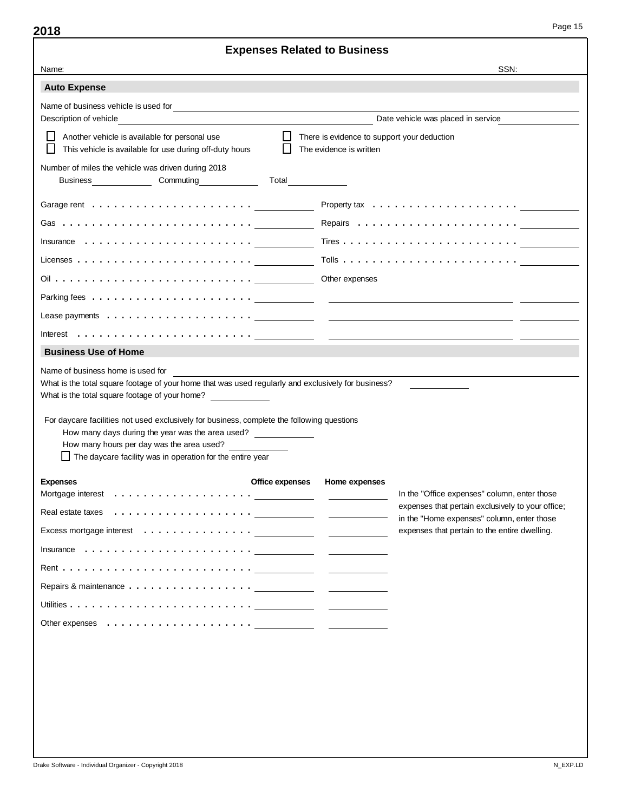| <b>Expenses Related to Business</b>                                                                                                                                                                                                                                                                                                                                                                                                                                                                                                                |                                                                                                   |  |  |  |  |  |  |
|----------------------------------------------------------------------------------------------------------------------------------------------------------------------------------------------------------------------------------------------------------------------------------------------------------------------------------------------------------------------------------------------------------------------------------------------------------------------------------------------------------------------------------------------------|---------------------------------------------------------------------------------------------------|--|--|--|--|--|--|
| Name:                                                                                                                                                                                                                                                                                                                                                                                                                                                                                                                                              | SSN:                                                                                              |  |  |  |  |  |  |
| <b>Auto Expense</b>                                                                                                                                                                                                                                                                                                                                                                                                                                                                                                                                |                                                                                                   |  |  |  |  |  |  |
|                                                                                                                                                                                                                                                                                                                                                                                                                                                                                                                                                    |                                                                                                   |  |  |  |  |  |  |
| Description of vehicle                                                                                                                                                                                                                                                                                                                                                                                                                                                                                                                             | Date vehicle was placed in service                                                                |  |  |  |  |  |  |
| Another vehicle is available for personal use<br>This vehicle is available for use during off-duty hours                                                                                                                                                                                                                                                                                                                                                                                                                                           | $\Box$ There is evidence to support your deduction<br>The evidence is written                     |  |  |  |  |  |  |
| Number of miles the vehicle was driven during 2018<br>Business <b>Commuting</b> Commuting                                                                                                                                                                                                                                                                                                                                                                                                                                                          | <b>Total</b>                                                                                      |  |  |  |  |  |  |
|                                                                                                                                                                                                                                                                                                                                                                                                                                                                                                                                                    |                                                                                                   |  |  |  |  |  |  |
|                                                                                                                                                                                                                                                                                                                                                                                                                                                                                                                                                    |                                                                                                   |  |  |  |  |  |  |
| Insurance $\dots \dots \dots \dots \dots \dots \dots \dots$                                                                                                                                                                                                                                                                                                                                                                                                                                                                                        |                                                                                                   |  |  |  |  |  |  |
| Licenses $\ldots \ldots \ldots \ldots \ldots \ldots \ldots \ldots$                                                                                                                                                                                                                                                                                                                                                                                                                                                                                 |                                                                                                   |  |  |  |  |  |  |
|                                                                                                                                                                                                                                                                                                                                                                                                                                                                                                                                                    | Other expenses                                                                                    |  |  |  |  |  |  |
|                                                                                                                                                                                                                                                                                                                                                                                                                                                                                                                                                    |                                                                                                   |  |  |  |  |  |  |
|                                                                                                                                                                                                                                                                                                                                                                                                                                                                                                                                                    |                                                                                                   |  |  |  |  |  |  |
| Interest $\ldots \ldots \ldots \ldots \ldots$                                                                                                                                                                                                                                                                                                                                                                                                                                                                                                      |                                                                                                   |  |  |  |  |  |  |
| <b>Business Use of Home</b>                                                                                                                                                                                                                                                                                                                                                                                                                                                                                                                        |                                                                                                   |  |  |  |  |  |  |
| What is the total square footage of your home that was used regularly and exclusively for business?<br>What is the total square footage of your home?<br>For daycare facilities not used exclusively for business, complete the following questions<br>How many days during the year was the area used?<br>How many hours per day was the area used?<br>The daycare facility was in operation for the entire year                                                                                                                                  |                                                                                                   |  |  |  |  |  |  |
| Office expenses<br><b>Expenses</b>                                                                                                                                                                                                                                                                                                                                                                                                                                                                                                                 | Home expenses                                                                                     |  |  |  |  |  |  |
|                                                                                                                                                                                                                                                                                                                                                                                                                                                                                                                                                    | In the "Office expenses" column, enter those<br>expenses that pertain exclusively to your office; |  |  |  |  |  |  |
|                                                                                                                                                                                                                                                                                                                                                                                                                                                                                                                                                    | in the "Home expenses" column, enter those                                                        |  |  |  |  |  |  |
|                                                                                                                                                                                                                                                                                                                                                                                                                                                                                                                                                    | expenses that pertain to the entire dwelling.                                                     |  |  |  |  |  |  |
| $In surface \quad \ldots \quad \ldots \quad \ldots \quad \ldots \quad \ldots \quad \ldots \quad \qquad \qquad \qquad \ldots \qquad \qquad \qquad \ldots \qquad \qquad \ldots \qquad \qquad \ldots \qquad \qquad \ldots \qquad \qquad \ldots \qquad \qquad \ldots \qquad \qquad \ldots \qquad \qquad \ldots \qquad \qquad \ldots \qquad \qquad \ldots \qquad \qquad \ldots \qquad \qquad \ldots \qquad \qquad \ldots \qquad \qquad \ldots \qquad \qquad \ldots \qquad \qquad \ldots \qquad \qquad \ldots \qquad \qquad \ldots \qquad \qquad \ldots$ |                                                                                                   |  |  |  |  |  |  |
|                                                                                                                                                                                                                                                                                                                                                                                                                                                                                                                                                    |                                                                                                   |  |  |  |  |  |  |
|                                                                                                                                                                                                                                                                                                                                                                                                                                                                                                                                                    |                                                                                                   |  |  |  |  |  |  |
|                                                                                                                                                                                                                                                                                                                                                                                                                                                                                                                                                    |                                                                                                   |  |  |  |  |  |  |
|                                                                                                                                                                                                                                                                                                                                                                                                                                                                                                                                                    |                                                                                                   |  |  |  |  |  |  |
|                                                                                                                                                                                                                                                                                                                                                                                                                                                                                                                                                    |                                                                                                   |  |  |  |  |  |  |
|                                                                                                                                                                                                                                                                                                                                                                                                                                                                                                                                                    |                                                                                                   |  |  |  |  |  |  |
|                                                                                                                                                                                                                                                                                                                                                                                                                                                                                                                                                    |                                                                                                   |  |  |  |  |  |  |
|                                                                                                                                                                                                                                                                                                                                                                                                                                                                                                                                                    |                                                                                                   |  |  |  |  |  |  |
|                                                                                                                                                                                                                                                                                                                                                                                                                                                                                                                                                    |                                                                                                   |  |  |  |  |  |  |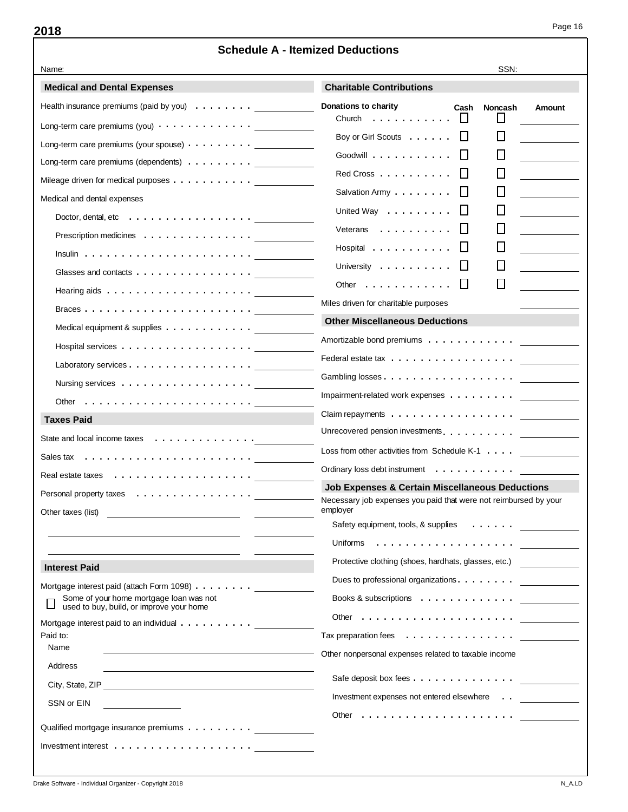Page 16

| <b>Schedule A - Itemized Deductions</b>                                              |                                                                              |  |  |  |  |
|--------------------------------------------------------------------------------------|------------------------------------------------------------------------------|--|--|--|--|
| Name:                                                                                | SSN:                                                                         |  |  |  |  |
| <b>Medical and Dental Expenses</b>                                                   | <b>Charitable Contributions</b>                                              |  |  |  |  |
| Health insurance premiums (paid by you) $\dots \dots$                                | Donations to charity<br>Cash<br>Noncash<br>Amount                            |  |  |  |  |
| Long-term care premiums (you) $\cdots$ $\cdots$ $\cdots$ $\cdots$ $\cdots$           | $\perp$<br>Church $\ldots$ , $\ldots$ , $\ldots$                             |  |  |  |  |
| Long-term care premiums (your spouse) $\cdots$ $\cdots$ $\cdots$ .                   | H<br>Boy or Girl Scouts                                                      |  |  |  |  |
| Long-term care premiums (dependents)                                                 | Goodwill $\cdots$ , $\cdots$ , $\cdots$                                      |  |  |  |  |
| Mileage driven for medical purposes                                                  | $Red Cross$ , , , , , , , , , , ,                                            |  |  |  |  |
| Medical and dental expenses                                                          | Salvation Army                                                               |  |  |  |  |
| Doctor, dental, etc $\dots \dots \dots \dots \dots \dots$                            | United Way                                                                   |  |  |  |  |
|                                                                                      | Veterans                                                                     |  |  |  |  |
|                                                                                      | Hospital                                                                     |  |  |  |  |
| Glasses and contacts $\dots \dots \dots \dots \dots$                                 | University                                                                   |  |  |  |  |
| Hearing aids $\ldots \ldots \ldots \ldots \ldots \ldots$                             | Other $\dots$ , $\dots$ , $\dots$                                            |  |  |  |  |
|                                                                                      | Miles driven for charitable purposes                                         |  |  |  |  |
| Medical equipment & supplies                                                         | <b>Other Miscellaneous Deductions</b>                                        |  |  |  |  |
|                                                                                      | Amortizable bond premiums                                                    |  |  |  |  |
| Laboratory services                                                                  | Federal estate tax                                                           |  |  |  |  |
|                                                                                      |                                                                              |  |  |  |  |
| Other $\ldots \ldots \ldots \ldots \ldots \ldots \ldots$                             | Impairment-related work expenses                                             |  |  |  |  |
| <b>Taxes Paid</b>                                                                    | Claim repayments                                                             |  |  |  |  |
| State and local income taxes                                                         | Unrecovered pension investments.                                             |  |  |  |  |
|                                                                                      | Loss from other activities from Schedule K-1                                 |  |  |  |  |
|                                                                                      | Ordinary loss debt instrument                                                |  |  |  |  |
|                                                                                      | <b>Job Expenses &amp; Certain Miscellaneous Deductions</b>                   |  |  |  |  |
| Personal property taxes                                                              | Necessary job expenses you paid that were not reimbursed by your<br>employer |  |  |  |  |
| Other taxes (list)                                                                   | Safety equipment, tools, & supplies                                          |  |  |  |  |
|                                                                                      |                                                                              |  |  |  |  |
|                                                                                      | Protective clothing (shoes, hardhats, glasses, etc.)                         |  |  |  |  |
| <b>Interest Paid</b>                                                                 | Dues to professional organizations.                                          |  |  |  |  |
| Mortgage interest paid (attach Form 1098)<br>Some of your home mortgage loan was not | Books & subscriptions                                                        |  |  |  |  |
| used to buy, build, or improve your home                                             | Other $\dots \dots \dots \dots \dots \dots \dots$                            |  |  |  |  |
| Mortgage interest paid to an individual<br>Paid to:                                  | Tax preparation fees $\ldots \ldots \ldots \ldots \ldots$                    |  |  |  |  |
| Name                                                                                 | Other nonpersonal expenses related to taxable income                         |  |  |  |  |
| Address                                                                              |                                                                              |  |  |  |  |
| City, State, ZIP                                                                     |                                                                              |  |  |  |  |
| SSN or EIN                                                                           | Investment expenses not entered elsewhere                                    |  |  |  |  |
|                                                                                      |                                                                              |  |  |  |  |
| Qualified mortgage insurance premiums                                                |                                                                              |  |  |  |  |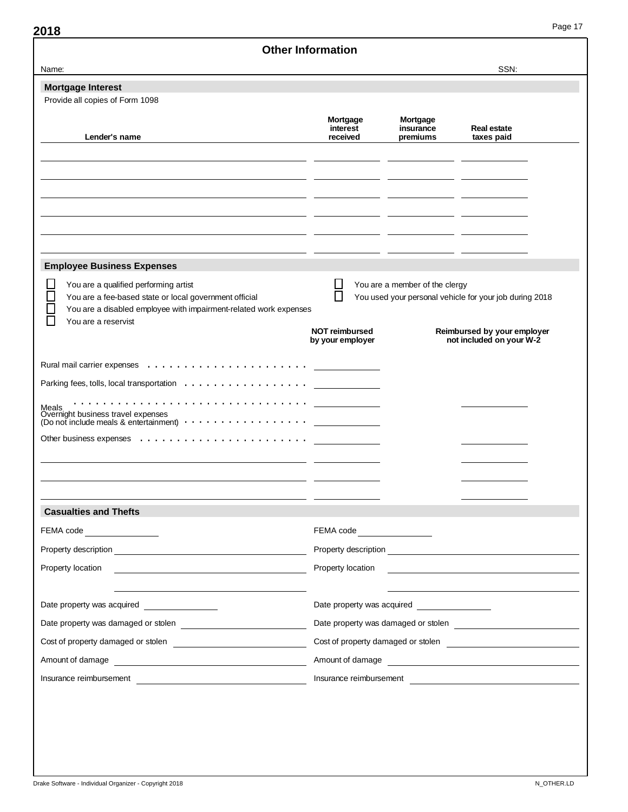|                                                                                                                                                                      | <b>Other Information</b>                                           |                                                                                           |                                                                                                |  |
|----------------------------------------------------------------------------------------------------------------------------------------------------------------------|--------------------------------------------------------------------|-------------------------------------------------------------------------------------------|------------------------------------------------------------------------------------------------|--|
| Name:                                                                                                                                                                |                                                                    |                                                                                           | SSN:                                                                                           |  |
| <b>Mortgage Interest</b>                                                                                                                                             |                                                                    |                                                                                           |                                                                                                |  |
| Provide all copies of Form 1098                                                                                                                                      |                                                                    |                                                                                           |                                                                                                |  |
| Lender's name                                                                                                                                                        | Mortgage<br>interest<br>received                                   | Mortgage<br>insurance<br>premiums                                                         | <b>Real estate</b><br>taxes paid                                                               |  |
|                                                                                                                                                                      |                                                                    |                                                                                           |                                                                                                |  |
|                                                                                                                                                                      |                                                                    |                                                                                           |                                                                                                |  |
|                                                                                                                                                                      |                                                                    |                                                                                           |                                                                                                |  |
| <b>Employee Business Expenses</b>                                                                                                                                    |                                                                    |                                                                                           |                                                                                                |  |
| You are a qualified performing artist<br>You are a fee-based state or local government official<br>You are a disabled employee with impairment-related work expenses |                                                                    | You are a member of the clergy<br>You used your personal vehicle for your job during 2018 |                                                                                                |  |
| You are a reservist                                                                                                                                                  | <b>NOT reimbursed</b><br>by your employer                          |                                                                                           | Reimbursed by your employer<br>not included on your W-2                                        |  |
|                                                                                                                                                                      |                                                                    |                                                                                           |                                                                                                |  |
| Parking fees, tolls, local transportation                                                                                                                            |                                                                    |                                                                                           |                                                                                                |  |
|                                                                                                                                                                      |                                                                    |                                                                                           |                                                                                                |  |
| Meals<br>Overnight business travel expenses<br>(Do not include meals & entertainment) $\cdots$                                                                       |                                                                    |                                                                                           |                                                                                                |  |
|                                                                                                                                                                      |                                                                    |                                                                                           |                                                                                                |  |
|                                                                                                                                                                      |                                                                    |                                                                                           |                                                                                                |  |
|                                                                                                                                                                      |                                                                    |                                                                                           |                                                                                                |  |
|                                                                                                                                                                      |                                                                    |                                                                                           |                                                                                                |  |
| <b>Casualties and Thefts</b>                                                                                                                                         |                                                                    |                                                                                           |                                                                                                |  |
| FEMA code <b>Example 20</b>                                                                                                                                          | FEMA code<br><u> </u>                                              |                                                                                           |                                                                                                |  |
|                                                                                                                                                                      |                                                                    |                                                                                           |                                                                                                |  |
| Property location                                                                                                                                                    | Property location<br><u> 1980 - Jan Samuel Barbara, margaret e</u> |                                                                                           |                                                                                                |  |
|                                                                                                                                                                      |                                                                    |                                                                                           |                                                                                                |  |
| Date property was acquired _________________                                                                                                                         | Date property was acquired _________________                       |                                                                                           |                                                                                                |  |
|                                                                                                                                                                      |                                                                    |                                                                                           |                                                                                                |  |
|                                                                                                                                                                      |                                                                    |                                                                                           | Cost of property damaged or stolen <b>contained</b> and the cost of property damaged or stolen |  |
|                                                                                                                                                                      | Amount of damage <b>contained</b> and a model of damage            |                                                                                           |                                                                                                |  |
| Amount of damage expression and a manufacturer of damage                                                                                                             | Insurance reimbursement                                            |                                                                                           |                                                                                                |  |